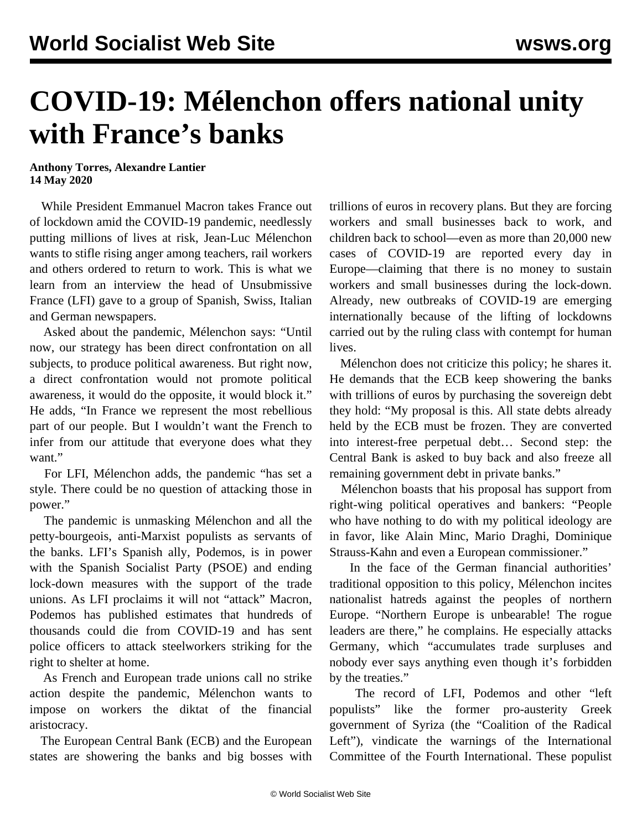## **COVID-19: Mélenchon offers national unity with France's banks**

## **Anthony Torres, Alexandre Lantier 14 May 2020**

 While President Emmanuel Macron takes France out of lockdown amid the COVID-19 pandemic, needlessly putting millions of lives at risk, Jean-Luc Mélenchon wants to stifle rising anger among teachers, rail workers and others ordered to return to work. This is what we learn from an interview the head of Unsubmissive France (LFI) gave to a group of Spanish, Swiss, Italian and German newspapers.

 Asked about the pandemic, Mélenchon says: "Until now, our strategy has been direct confrontation on all subjects, to produce political awareness. But right now, a direct confrontation would not promote political awareness, it would do the opposite, it would block it." He adds, "In France we represent the most rebellious part of our people. But I wouldn't want the French to infer from our attitude that everyone does what they want."

 For LFI, Mélenchon adds, the pandemic "has set a style. There could be no question of attacking those in power."

 The pandemic is unmasking Mélenchon and all the petty-bourgeois, anti-Marxist populists as servants of the banks. LFI's Spanish ally, Podemos, is in power with the Spanish Socialist Party (PSOE) and ending lock-down measures with the support of the trade unions. As LFI proclaims it will not "attack" Macron, Podemos has published estimates that hundreds of thousands could die from COVID-19 and has sent police officers to attack steelworkers striking for the right to shelter at home.

 As French and European trade unions call no strike action despite the pandemic, Mélenchon wants to impose on workers the diktat of the financial aristocracy.

 The European Central Bank (ECB) and the European states are showering the banks and big bosses with trillions of euros in recovery plans. But they are forcing workers and small businesses back to work, and children back to school—even as more than 20,000 new cases of COVID-19 are reported every day in Europe—claiming that there is no money to sustain workers and small businesses during the lock-down. Already, new outbreaks of COVID-19 are emerging internationally because of the lifting of lockdowns carried out by the ruling class with contempt for human lives.

 Mélenchon does not criticize this policy; he shares it. He demands that the ECB keep showering the banks with trillions of euros by purchasing the sovereign debt they hold: "My proposal is this. All state debts already held by the ECB must be frozen. They are converted into interest-free perpetual debt… Second step: the Central Bank is asked to buy back and also freeze all remaining government debt in private banks."

 Mélenchon boasts that his proposal has support from right-wing political operatives and bankers: "People who have nothing to do with my political ideology are in favor, like Alain Minc, Mario Draghi, Dominique Strauss-Kahn and even a European commissioner."

 In the face of the German financial authorities' traditional opposition to this policy, Mélenchon incites nationalist hatreds against the peoples of northern Europe. "Northern Europe is unbearable! The rogue leaders are there," he complains. He especially attacks Germany, which "accumulates trade surpluses and nobody ever says anything even though it's forbidden by the treaties."

 The record of LFI, Podemos and other "left populists" like the former pro-austerity Greek government of Syriza (the "Coalition of the Radical Left"), vindicate the warnings of the International Committee of the Fourth International. These populist